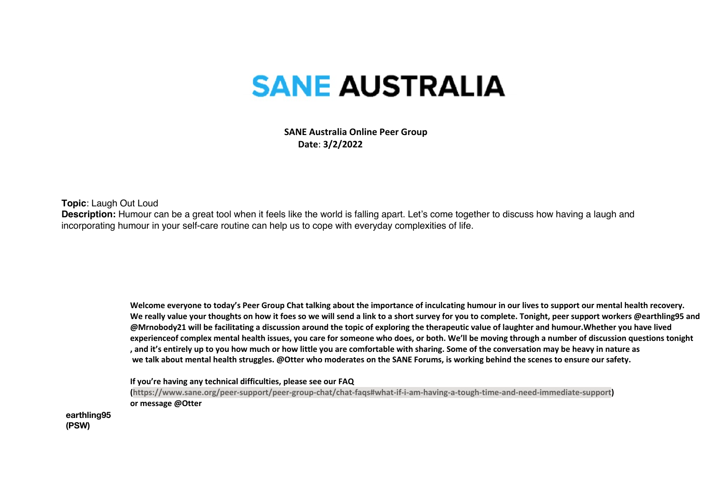## **SANE AUSTRALIA**

 **SANE Australia Online Peer Group Date**: **3/2/2022**

**Topic**: Laugh Out Loud

**Description:** Humour can be a great tool when it feels like the world is falling apart. Let's come together to discuss how having a laugh and incorporating humour in your self-care routine can help us to cope with everyday complexities of life.

> **Welcome everyone to today's Peer Group Chat talking about the importance of inculcating humour in our lives to support our mental health recovery.** We really value your thoughts on how it foes so we will send a link to a short survey for you to complete. Tonight, peer support workers @earthling95 and **@Mrnobody21 will be facilitating a discussion around the topic of exploring the therapeutic value of laughter and humour.Whether you have lived experienceof complex mental health issues, you care for someone who does, or both. We'll be moving through a number of discussion questions tonight , and it's entirely up to you how much or how little you are comfortable with sharing. Some of the conversation may be heavy in nature as we talk about mental health struggles. @Otter who moderates on the SANE Forums, is working behind the scenes to ensure our safety.**

**If you're having any technical difficulties, please see our FAQ** 

**(https://www.sane.org/peer-support/peer-group-chat/chat-faqs#what-if-i-am-having-a-tough-time-and-need-immediate-support) or message @Otter**

**earthling95 (PSW)**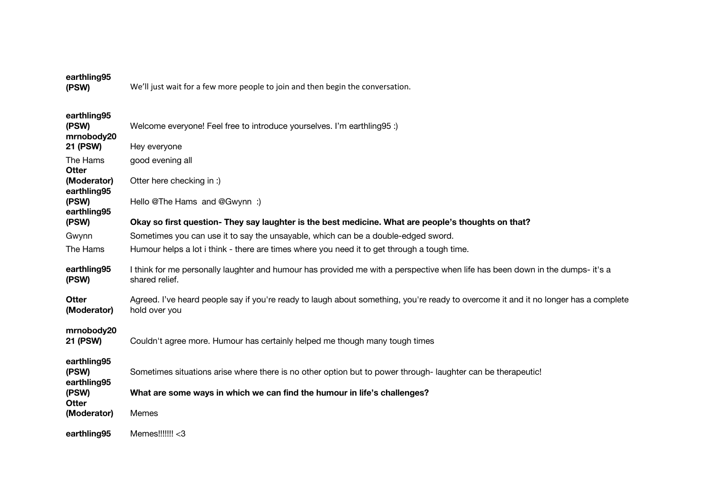| earthling95<br>(PSW)                                  | We'll just wait for a few more people to join and then begin the conversation.                                                                       |
|-------------------------------------------------------|------------------------------------------------------------------------------------------------------------------------------------------------------|
| earthling95<br>(PSW)<br>mrnobody20<br><b>21 (PSW)</b> | Welcome everyone! Feel free to introduce yourselves. I'm earthling 95 :)<br>Hey everyone                                                             |
| The Hams<br><b>Otter</b>                              | good evening all                                                                                                                                     |
| (Moderator)<br>earthling95                            | Otter here checking in :)                                                                                                                            |
| (PSW)<br>earthling95                                  | Hello @The Hams and @Gwynn :)                                                                                                                        |
| (PSW)                                                 | Okay so first question- They say laughter is the best medicine. What are people's thoughts on that?                                                  |
| Gwynn                                                 | Sometimes you can use it to say the unsayable, which can be a double-edged sword.                                                                    |
| The Hams                                              | Humour helps a lot i think - there are times where you need it to get through a tough time.                                                          |
| earthling95<br>(PSW)                                  | I think for me personally laughter and humour has provided me with a perspective when life has been down in the dumps- it's a<br>shared relief.      |
| <b>Otter</b><br>(Moderator)                           | Agreed. I've heard people say if you're ready to laugh about something, you're ready to overcome it and it no longer has a complete<br>hold over you |
| mrnobody20<br><b>21 (PSW)</b>                         | Couldn't agree more. Humour has certainly helped me though many tough times                                                                          |
| earthling95<br>(PSW)<br>earthling95                   | Sometimes situations arise where there is no other option but to power through-laughter can be therapeutic!                                          |
| (PSW)                                                 | What are some ways in which we can find the humour in life's challenges?                                                                             |
| Otter<br>(Moderator)                                  | Memes                                                                                                                                                |
| earthling95                                           | Memes!!!!!!! < 3                                                                                                                                     |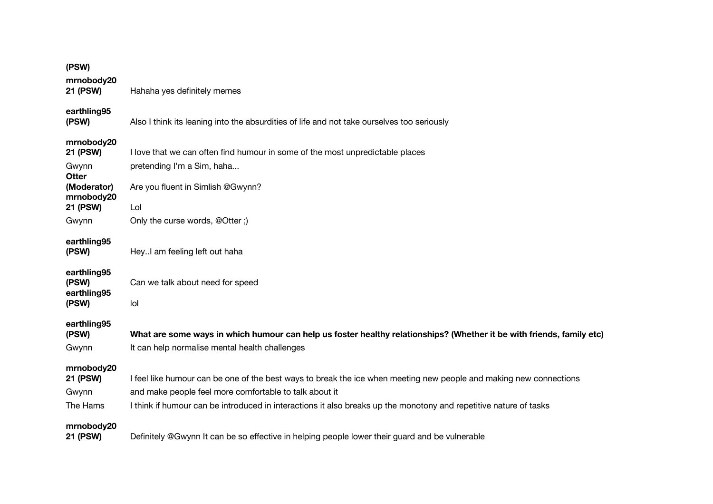| (PSW)                               |                                                                                                                                                                         |
|-------------------------------------|-------------------------------------------------------------------------------------------------------------------------------------------------------------------------|
| mrnobody20<br>21 (PSW)              | Hahaha yes definitely memes                                                                                                                                             |
| earthling95<br>(PSW)                | Also I think its leaning into the absurdities of life and not take ourselves too seriously                                                                              |
| mrnobody20<br>21 (PSW)              | I love that we can often find humour in some of the most unpredictable places                                                                                           |
| Gwynn<br>Otter                      | pretending I'm a Sim, haha                                                                                                                                              |
| (Moderator)<br>mrnobody20           | Are you fluent in Simlish @Gwynn?                                                                                                                                       |
| 21 (PSW)                            | Lol                                                                                                                                                                     |
| Gwynn                               | Only the curse words, @Otter;)                                                                                                                                          |
| earthling95<br>(PSW)                | HeyI am feeling left out haha                                                                                                                                           |
| earthling95<br>(PSW)<br>earthling95 | Can we talk about need for speed                                                                                                                                        |
| (PSW)                               | lol                                                                                                                                                                     |
| earthling95<br>(PSW)<br>Gwynn       | What are some ways in which humour can help us foster healthy relationships? (Whether it be with friends, family etc)<br>It can help normalise mental health challenges |
| mrnobody20                          |                                                                                                                                                                         |
| <b>21 (PSW)</b>                     | I feel like humour can be one of the best ways to break the ice when meeting new people and making new connections                                                      |
| Gwynn                               | and make people feel more comfortable to talk about it                                                                                                                  |
| The Hams                            | I think if humour can be introduced in interactions it also breaks up the monotony and repetitive nature of tasks                                                       |
| mrnobody20<br>21 (PSW)              | Definitely @Gwynn It can be so effective in helping people lower their guard and be vulnerable                                                                          |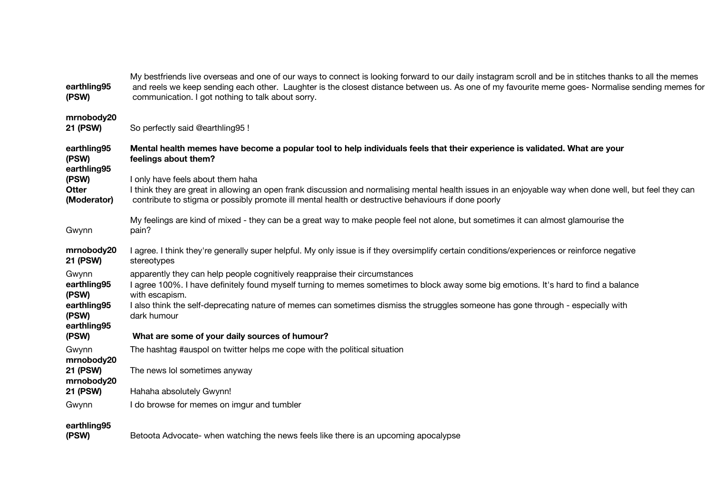| earthling95<br>(PSW)                                                 | My bestfriends live overseas and one of our ways to connect is looking forward to our daily instagram scroll and be in stitches thanks to all the memes<br>and reels we keep sending each other. Laughter is the closest distance between us. As one of my favourite meme goes- Normalise sending memes for<br>communication. I got nothing to talk about sorry.                        |
|----------------------------------------------------------------------|-----------------------------------------------------------------------------------------------------------------------------------------------------------------------------------------------------------------------------------------------------------------------------------------------------------------------------------------------------------------------------------------|
| mrnobody20<br>21 (PSW)                                               | So perfectly said @earthling95 !                                                                                                                                                                                                                                                                                                                                                        |
| earthling95<br>(PSW)<br>earthling95                                  | Mental health memes have become a popular tool to help individuals feels that their experience is validated. What are your<br>feelings about them?                                                                                                                                                                                                                                      |
| (PSW)<br><b>Otter</b><br>(Moderator)                                 | I only have feels about them haha<br>I think they are great in allowing an open frank discussion and normalising mental health issues in an enjoyable way when done well, but feel they can<br>contribute to stigma or possibly promote ill mental health or destructive behaviours if done poorly                                                                                      |
| Gwynn                                                                | My feelings are kind of mixed - they can be a great way to make people feel not alone, but sometimes it can almost glamourise the<br>pain?                                                                                                                                                                                                                                              |
| mrnobody20<br>21 (PSW)                                               | I agree. I think they're generally super helpful. My only issue is if they oversimplify certain conditions/experiences or reinforce negative<br>stereotypes                                                                                                                                                                                                                             |
| Gwynn<br>earthling95<br>(PSW)<br>earthling95<br>(PSW)<br>earthling95 | apparently they can help people cognitively reappraise their circumstances<br>I agree 100%. I have definitely found myself turning to memes sometimes to block away some big emotions. It's hard to find a balance<br>with escapism.<br>I also think the self-deprecating nature of memes can sometimes dismiss the struggles someone has gone through - especially with<br>dark humour |
| (PSW)                                                                | What are some of your daily sources of humour?                                                                                                                                                                                                                                                                                                                                          |
| Gwynn<br>mrnobody20                                                  | The hashtag #auspol on twitter helps me cope with the political situation                                                                                                                                                                                                                                                                                                               |
| 21 (PSW)<br>mrnobody20                                               | The news lol sometimes anyway                                                                                                                                                                                                                                                                                                                                                           |
| 21 (PSW)                                                             | Hahaha absolutely Gwynn!                                                                                                                                                                                                                                                                                                                                                                |
| Gwynn                                                                | I do browse for memes on imgur and tumbler                                                                                                                                                                                                                                                                                                                                              |
| earthling95<br>(PSW)                                                 | Betoota Advocate- when watching the news feels like there is an upcoming apocalypse                                                                                                                                                                                                                                                                                                     |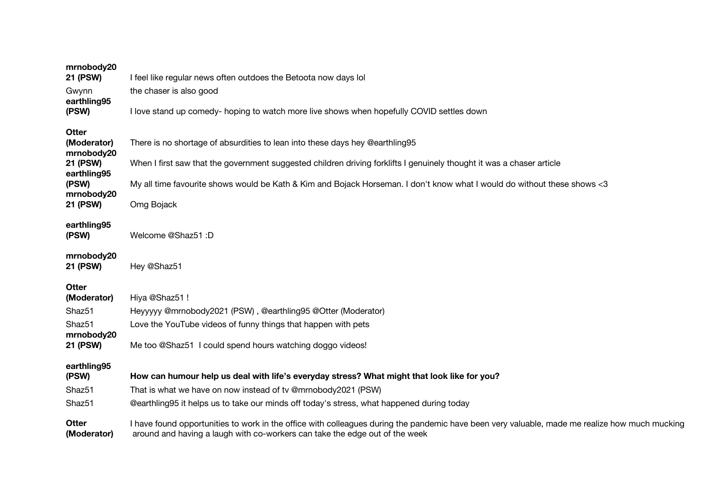| mrnobody20<br>21 (PSW)             | I feel like regular news often outdoes the Betoota now days lol                                                                                                                                                               |
|------------------------------------|-------------------------------------------------------------------------------------------------------------------------------------------------------------------------------------------------------------------------------|
| Gwynn                              | the chaser is also good                                                                                                                                                                                                       |
| earthling95<br>(PSW)               | I love stand up comedy- hoping to watch more live shows when hopefully COVID settles down                                                                                                                                     |
| Otter<br>(Moderator)<br>mrnobody20 | There is no shortage of absurdities to lean into these days hey @earthling95                                                                                                                                                  |
| <b>21 (PSW)</b>                    | When I first saw that the government suggested children driving forklifts I genuinely thought it was a chaser article                                                                                                         |
| earthling95<br>(PSW)<br>mrnobody20 | My all time favourite shows would be Kath & Kim and Bojack Horseman. I don't know what I would do without these shows <3                                                                                                      |
| <b>21 (PSW)</b>                    | Omg Bojack                                                                                                                                                                                                                    |
| earthling95<br>(PSW)               | Welcome @Shaz51 :D                                                                                                                                                                                                            |
| mrnobody20<br>21 (PSW)             | Hey @Shaz51                                                                                                                                                                                                                   |
| Otter                              |                                                                                                                                                                                                                               |
| (Moderator)<br>Shaz51              | Hiya @Shaz51 !<br>Heyyyyy @mrnobody2021 (PSW), @earthling95 @Otter (Moderator)                                                                                                                                                |
| Shaz51                             | Love the YouTube videos of funny things that happen with pets                                                                                                                                                                 |
| mrnobody20<br><b>21 (PSW)</b>      | Me too @Shaz51 I could spend hours watching doggo videos!                                                                                                                                                                     |
| earthling95<br>(PSW)               | How can humour help us deal with life's everyday stress? What might that look like for you?                                                                                                                                   |
| Shaz51                             | That is what we have on now instead of tv @mrnobody2021 (PSW)                                                                                                                                                                 |
| Shaz51                             | @earthling95 it helps us to take our minds off today's stress, what happened during today                                                                                                                                     |
| Otter<br>(Moderator)               | I have found opportunities to work in the office with colleagues during the pandemic have been very valuable, made me realize how much mucking<br>around and having a laugh with co-workers can take the edge out of the week |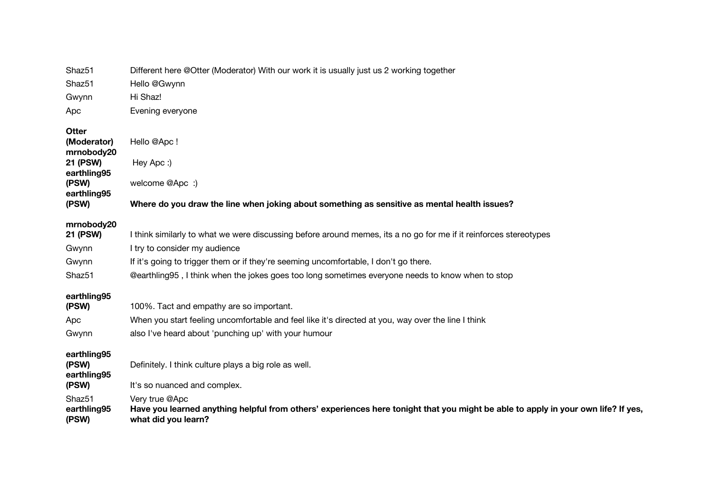| Shaz51                                                | Different here @Otter (Moderator) With our work it is usually just us 2 working together                                                                                   |
|-------------------------------------------------------|----------------------------------------------------------------------------------------------------------------------------------------------------------------------------|
| Shaz51                                                | Hello @Gwynn                                                                                                                                                               |
| Gwynn                                                 | Hi Shaz!                                                                                                                                                                   |
| Apc                                                   | Evening everyone                                                                                                                                                           |
| <b>Otter</b><br>(Moderator)<br>mrnobody20<br>21 (PSW) | Hello @Apc!<br>Hey Apc:)                                                                                                                                                   |
| earthling95<br>(PSW)<br>earthling95                   | welcome @Apc :)                                                                                                                                                            |
| (PSW)                                                 | Where do you draw the line when joking about something as sensitive as mental health issues?                                                                               |
| mrnobody20<br>21 (PSW)                                | I think similarly to what we were discussing before around memes, its a no go for me if it reinforces stereotypes                                                          |
| Gwynn                                                 | I try to consider my audience                                                                                                                                              |
| Gwynn                                                 | If it's going to trigger them or if they're seeming uncomfortable, I don't go there.                                                                                       |
| Shaz <sub>51</sub>                                    | @earthling95, I think when the jokes goes too long sometimes everyone needs to know when to stop                                                                           |
| earthling95<br>(PSW)                                  | 100%. Tact and empathy are so important.                                                                                                                                   |
| Apc                                                   | When you start feeling uncomfortable and feel like it's directed at you, way over the line I think                                                                         |
| Gwynn                                                 | also I've heard about 'punching up' with your humour                                                                                                                       |
| earthling95<br>(PSW)<br>earthling95<br>(PSW)          | Definitely. I think culture plays a big role as well.<br>It's so nuanced and complex.                                                                                      |
| Shaz <sub>51</sub><br>earthling95<br>(PSW)            | Very true @Apc<br>Have you learned anything helpful from others' experiences here tonight that you might be able to apply in your own life? If yes,<br>what did you learn? |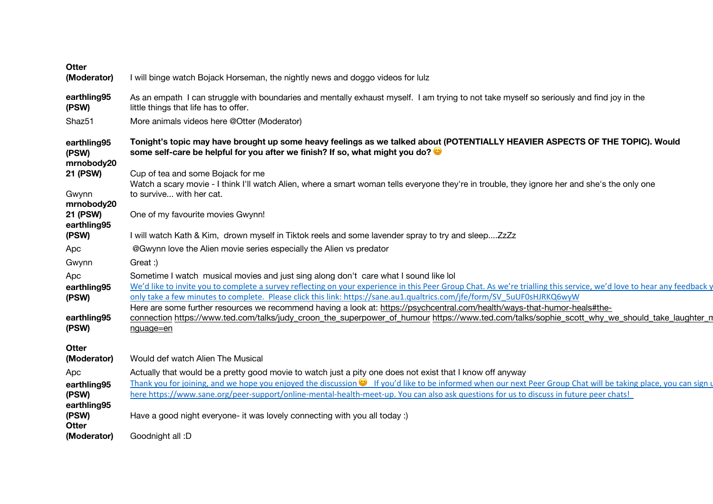| Otter                                        |                                                                                                                                                                                                                                                                                                                                                                                                                                                                                                                       |
|----------------------------------------------|-----------------------------------------------------------------------------------------------------------------------------------------------------------------------------------------------------------------------------------------------------------------------------------------------------------------------------------------------------------------------------------------------------------------------------------------------------------------------------------------------------------------------|
| (Moderator)                                  | I will binge watch Bojack Horseman, the nightly news and doggo videos for lulz                                                                                                                                                                                                                                                                                                                                                                                                                                        |
| earthling95<br>(PSW)                         | As an empath I can struggle with boundaries and mentally exhaust myself. I am trying to not take myself so seriously and find joy in the<br>little things that life has to offer.                                                                                                                                                                                                                                                                                                                                     |
| Shaz <sub>51</sub>                           | More animals videos here @Otter (Moderator)                                                                                                                                                                                                                                                                                                                                                                                                                                                                           |
| earthling95<br>(PSW)<br>mrnobody20           | Tonight's topic may have brought up some heavy feelings as we talked about (POTENTIALLY HEAVIER ASPECTS OF THE TOPIC). Would<br>some self-care be helpful for you after we finish? If so, what might you do?                                                                                                                                                                                                                                                                                                          |
| 21 (PSW)<br>Gwynn                            | Cup of tea and some Bojack for me<br>Watch a scary movie - I think I'll watch Alien, where a smart woman tells everyone they're in trouble, they ignore her and she's the only one<br>to survive with her cat.                                                                                                                                                                                                                                                                                                        |
| mrnobody20<br><b>21 (PSW)</b><br>earthling95 | One of my favourite movies Gwynn!                                                                                                                                                                                                                                                                                                                                                                                                                                                                                     |
| (PSW)                                        | I will watch Kath & Kim, drown myself in Tiktok reels and some lavender spray to try and sleepZzZz                                                                                                                                                                                                                                                                                                                                                                                                                    |
| Apc                                          | @Gwynn love the Alien movie series especially the Alien vs predator                                                                                                                                                                                                                                                                                                                                                                                                                                                   |
| Gwynn                                        | Great:)                                                                                                                                                                                                                                                                                                                                                                                                                                                                                                               |
| Apc<br>earthling95<br>(PSW)                  | Sometime I watch musical movies and just sing along don't care what I sound like lol<br>We'd like to invite you to complete a survey reflecting on your experience in this Peer Group Chat. As we're trialling this service, we'd love to hear any feedback y<br>only take a few minutes to complete. Please click this link: https://sane.au1.qualtrics.com/jfe/form/SV_5uUF0sHJRKQ6wyW<br>Here are some further resources we recommend having a look at: https://psychcentral.com/health/ways-that-humor-heals#the- |
| earthling95<br>(PSW)                         | connection https://www.ted.com/talks/judy_croon_the_superpower_of_humour https://www.ted.com/talks/sophie_scott_why_we_should_take_laughter_n<br>nguage=en                                                                                                                                                                                                                                                                                                                                                            |
| <b>Otter</b>                                 |                                                                                                                                                                                                                                                                                                                                                                                                                                                                                                                       |
| (Moderator)                                  | Would def watch Alien The Musical                                                                                                                                                                                                                                                                                                                                                                                                                                                                                     |
| Apc                                          | Actually that would be a pretty good movie to watch just a pity one does not exist that I know off anyway                                                                                                                                                                                                                                                                                                                                                                                                             |
| earthling95<br>(PSW)                         | Thank you for joining, and we hope you enjoyed the discussion $\bullet$ If you'd like to be informed when our next Peer Group Chat will be taking place, you can sign u<br>here https://www.sane.org/peer-support/online-mental-health-meet-up. You can also ask questions for us to discuss in future peer chats!                                                                                                                                                                                                    |
| earthling95<br>(PSW)<br>Otter                | Have a good night everyone- it was lovely connecting with you all today :)                                                                                                                                                                                                                                                                                                                                                                                                                                            |
| (Moderator)                                  | Goodnight all: D                                                                                                                                                                                                                                                                                                                                                                                                                                                                                                      |
|                                              |                                                                                                                                                                                                                                                                                                                                                                                                                                                                                                                       |